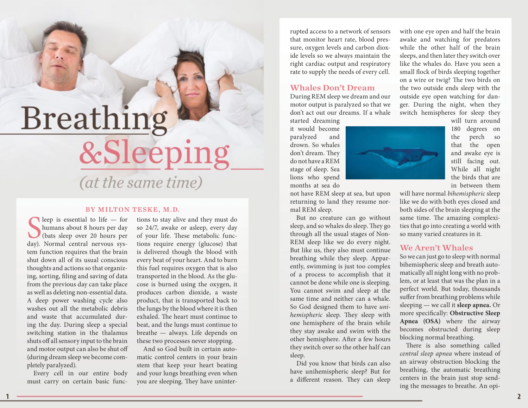# Breathing &Sleeping (at the same time)

#### BY MILTON TESKE, M.D.

Seep is essential to life — for<br>humans about 8 hours per day<br>(bats sleep over 20 hours per<br>day). Normal central nervous sysleep is essential to life — for humans about 8 hours per day (bats sleep over 20 hours per tem function requires that the brain shut down all of its usual conscious thoughts and actions so that organizing, sorting, filing and saving of data from the previous day can take place as well as deleting non-essential data. A deep power washing cycle also washes out all the metabolic debris and waste that accumulated during the day. During sleep a special switching station in the thalamus shuts off all sensory input to the brain and motor output can also be shut off (during dream sleep we become completely paralyzed).

Every cell in our entire body must carry on certain basic func-

tions to stay alive and they must do so 24/7, awake or asleep, every day of your life. These metabolic functions require energy (glucose) that is delivered though the blood with every beat of your heart. And to burn this fuel requires oxygen that is also transported in the blood. As the glucose is burned using the oxygen, it produces carbon dioxide, a waste product, that is transported back to the lungs by the blood where it is then exhaled. The heart must continue to beat, and the lungs must continue to breathe — always. Life depends on these two processes never stopping.

And so God built in certain automatic control centers in your brain stem that keep your heart beating and your lungs breathing even when you are sleeping. They have uninterrupted access to a network of sensors that monitor heart rate, blood pressure, oxygen levels and carbon dioxide levels so we always maintain the right cardiac output and respiratory rate to supply the needs of every cell.

#### Whales Don't Dream

During REM sleep we dream and our motor output is paralyzed so that we don't act out our dreams. If a whale

started dreaming it would become paralyzed and drown. So whales don't dream. They do not have a REM stage of sleep. Sea lions who spend months at sea do

not have REM sleep at sea, but upon returning to land they resume normal REM sleep.

But no creature can go without sleep, and so whales do sleep. They go through all the usual stages of Non-REM sleep like we do every night. But like us, they also must continue breathing while they sleep. Apparently, swimming is just too complex of a process to accomplish that it cannot be done while one is sleeping. You cannot swim and sleep at the same time and neither can a whale. So God designed them to have *unihemispheric* sleep. They sleep with one hemisphere of the brain while they stay awake and swim with the other hemisphere. After a few hours they switch over so the other half can sleep.

Did you know that birds can also have unihemispheric sleep? But for a different reason. They can sleep

with one eye open and half the brain awake and watching for predators while the other half of the brain sleeps, and then later they switch over like the whales do. Have you seen a small flock of birds sleeping together on a wire or twig? The two birds on the two outside ends sleep with the outside eye open watching for danger. During the night, when they switch hemispheres for sleep they



will turn around 180 degrees on the perch so that the open and awake eye is still facing out. While all night the birds that are in between them

will have normal *bihemispheric* sleep like we do with both eyes closed and both sides of the brain sleeping at the same time. The amazing complexities that go into creating a world with so many varied creatures in it.

### We Aren't Whales

So we can just go to sleep with normal bihemispheric sleep and breath automatically all night long with no problem, or at least that was the plan in a perfect world. But today, thousands suffer from breathing problems while sleeping — we call it **sleep apnea.** Or more specifically: **Obstructive Sleep Apnea (OSA)** where the airway becomes obstructed during sleep blocking normal breathing.

There is also something called *central sleep apnea* where instead of an airway obstruction blocking the breathing, the automatic breathing centers in the brain just stop sending the messages to breathe. An opi-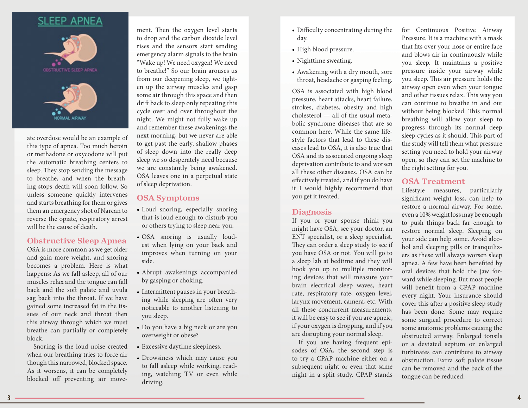

ate overdose would be an example of this type of apnea. Too much heroin or methadone or oxycodone will put the automatic breathing centers to sleep. They stop sending the message to breathe, and when the breath ing stops death will soon follow. So unless someone quickly intervenes and starts breathing for them or gives them an emergency shot of Narcan to reverse the opiate, respiratory arrest will be the cause of death.

#### Obstructive Sleep Apnea

OSA is more common as we get older and gain more weight, and snoring becomes a problem. Here is what happens: As we fall asleep, all of our muscles relax and the tongue can fall back and the soft palate and uvula sag back into the throat. If we have gained some increased fat in the tis sues of our neck and throat then this airway through which we must breathe can partially or completely block.

Snoring is the loud noise created when our breathing tries to force air though this narrowed, blocked space. As it worsens, it can be completely blocked off preventing air move -

ment. Then the oxygen level starts to drop and the carbon dioxide level rises and the sensors start sending emergency alarm signals to the brain "Wake up! We need oxygen! We need to breathe!" So our brain arouses us from our deepening sleep, we tight en up the airway muscles and gasp some air through this space and then drift back to sleep only repeating this cycle over and over throughout the night. We might not fully wake up and remember these awakenings the next morning, but we never are able to get past the early, shallow phases of sleep down into the really deep sleep we so desperately need because we are constantly being awakened. OSA leaves one in a perpetual state of sleep deprivation.

# OSA Symptoms

- Loud snoring, especially snoring that is loud enough to disturb you or others trying to sleep near you.
- OSA snoring is usually loud est when lying on your back and improves when turning on your side.
- Abrupt awakenings accompanied by gasping or choking.
- Intermittent pauses in your breath ing while sleeping are often very noticeable to another listening to you sleep.
- Do you have a big neck or are you overweight or obese?
- Excessive daytime sleepiness.
- Drowsiness which may cause you to fall asleep while working, read ing, watching TV or even while driving.
- Difficulty concentrating during the day.
- High blood pressure.
- Nighttime sweating.
- Awakening with a dry mouth, sore throat, headache or gasping feeling.

OSA is associated with high blood pressure, heart attacks, heart failure, strokes, diabetes, obesity and high cholesterol — all of the usual meta bolic syndrome diseases that are so common here. While the same life style factors that lead to these dis eases lead to OSA, it is also true that OSA and its associated ongoing sleep deprivation contribute to and worsen all these other diseases. OSA can be effectively treated, and if you do have it I would highly recommend that you get it treated.

## Diagnosis

If you or your spouse think you might have OSA, see your doctor, an ENT specialist, or a sleep specialist. They can order a sleep study to see if you have OSA or not. You will go to a sleep lab at bedtime and they will hook you up to multiple monitor ing devices that will measure your brain electrical sleep waves, heart rate, respiratory rate, oxygen level, larynx movement, camera, etc. With all these concurrent measurements, it will be easy to see if you are apneic, if your oxygen is dropping, and if you are disrupting your normal sleep.

If you are having frequent epi sodes of OSA, the second step is to try a CPAP machine either on a subsequent night or even that same night in a split study. CPAP stands for Continuous Positive Airway Pressure. It is a machine with a mask that fits over your nose or entire face and blows air in continuously while you sleep. It maintains a positive pressure inside your airway while you sleep. This air pressure holds the airway open even when your tongue and other tissues relax. This way you can continue to breathe in and out without being blocked. This normal breathing will allow your sleep to progress through its normal deep sleep cycles as it should. This part of the study will tell them what pressure setting you need to hold your airway open, so they can set the machine to the right setting for you.

# OSA Treatment

Lifestyle measures, particularly significant weight loss, can help to restore a normal airway. For some, even a 10% weight loss may be enough to push things back far enough to restore normal sleep. Sleeping on your side can help some. Avoid alco hol and sleeping pills or tranquiliz ers as these will always worsen sleep apnea. A few have been benefited by oral devices that hold the jaw for ward while sleeping. But most people will benefit from a CPAP machine every night. Your insurance should cover this after a positive sleep study has been done. Some may require some surgical procedure to correct some anatomic problems causing the obstructed airway. Enlarged tonsils or a deviated septum or enlarged turbinates can contribute to airway obstruction. Extra soft palate tissue can be removed and the back of the tongue can be reduced.